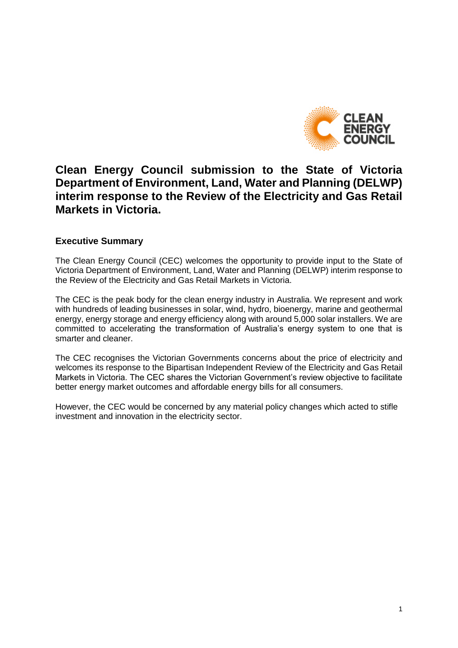

# **Clean Energy Council submission to the State of Victoria Department of Environment, Land, Water and Planning (DELWP) interim response to the Review of the Electricity and Gas Retail Markets in Victoria.**

## **Executive Summary**

The Clean Energy Council (CEC) welcomes the opportunity to provide input to the State of Victoria Department of Environment, Land, Water and Planning (DELWP) interim response to the Review of the Electricity and Gas Retail Markets in Victoria.

The CEC is the peak body for the clean energy industry in Australia. We represent and work with hundreds of leading businesses in solar, wind, hydro, bioenergy, marine and geothermal energy, energy storage and energy efficiency along with around 5,000 solar installers. We are committed to accelerating the transformation of Australia's energy system to one that is smarter and cleaner.

The CEC recognises the Victorian Governments concerns about the price of electricity and welcomes its response to the Bipartisan Independent Review of the Electricity and Gas Retail Markets in Victoria. The CEC shares the Victorian Government's review objective to facilitate better energy market outcomes and affordable energy bills for all consumers.

However, the CEC would be concerned by any material policy changes which acted to stifle investment and innovation in the electricity sector.